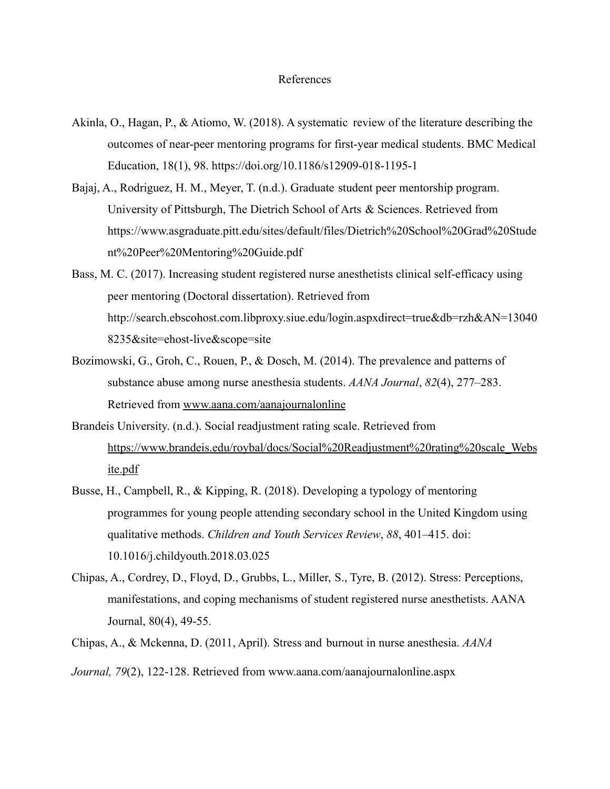## References

- Akinla, O., Hagan, P., & Atiomo, W. (2018). A systematic review of the literature describing the outcomes of near-peer mentoring programs for first-year medical students. BMC Medical Education, 18(1), 98. <https://doi.org/10.1186/s12909-018-1195-1>
- Bajaj, A., Rodriguez, H. M., Meyer, T. (n.d.). Graduate student peer mentorship program. University of Pittsburgh, The Dietrich School of Arts & Sciences. Retrieved from https://www.asgraduate.pitt.edu/sites/default/files/Dietrich%20School%20Grad%20Stude nt%20Peer%20Mentoring%20Guide.pdf
- Bass, M. C. (2017). Increasing student registered nurse anesthetists clinical self-efficacy using peer mentoring (Doctoral dissertation). Retrieved from http://search.ebscohost.com.libproxy.siue.edu/login.aspxdirect=true&db=rzh&AN=13040 8235&site=ehost-live&scope=site
- Bozimowski, G., Groh, C., Rouen, P., & Dosch, M. (2014). The prevalence and patterns of substance abuse among nurse anesthesia students. *AANA Journal*, *82*(4), 277–283. Retrieved from [www.aana.com/aanajournalonline](http://www.aana.com/aanajournalonline)
- Brandeis University. (n.d.). Social readjustment rating scale. Retrieved from [https://www.brandeis.edu/roybal/docs/Social%20Readjustment%20rating%20scale\\_Webs](https://www.brandeis.edu/roybal/docs/Social%20Readjustment%20rating%20scale_Website.pdf) [ite.pdf](https://www.brandeis.edu/roybal/docs/Social%20Readjustment%20rating%20scale_Website.pdf)
- Busse, H., Campbell, R., & Kipping, R. (2018). Developing a typology of mentoring programmes for young people attending secondary school in the United Kingdom using qualitative methods. *Children and Youth Services Review*, *88*, 401–415. doi: 10.1016/j.childyouth.2018.03.025
- Chipas, A., Cordrey, D., Floyd, D., Grubbs, L., Miller, S., Tyre, B. (2012). Stress: Perceptions, manifestations, and coping mechanisms of student registered nurse anesthetists. AANA Journal, 80(4), 49-55.
- Chipas, A., & Mckenna, D. (2011, April). Stress and burnout in nurse anesthesia. *AANA*

*Journal, 79*(2), 122-128. Retrieved from www.aana.com/aanajournalonline.aspx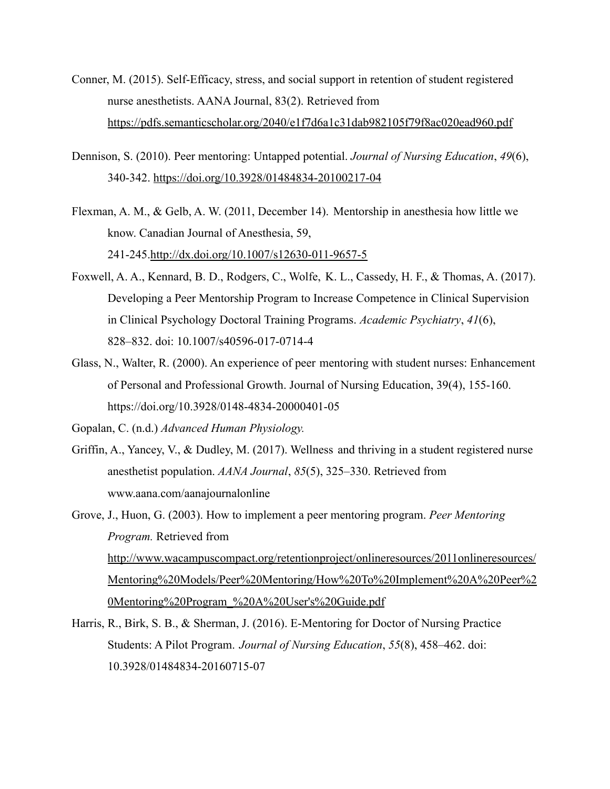- Conner, M. (2015). Self-Efficacy, stress, and social support in retention of student registered nurse anesthetists. AANA Journal, 83(2). Retrieved from <https://pdfs.semanticscholar.org/2040/e1f7d6a1c31dab982105f79f8ac020ead960.pdf>
- Dennison, S. (2010). Peer mentoring: Untapped potential. *Journal of Nursing Education*, *49*(6), 340-342. <https://doi.org/10.3928/01484834-20100217-04>
- Flexman, A. M., & Gelb, A. W. (2011, December 14). Mentorship in anesthesia how little we know. Canadian Journal of Anesthesia, 59, 241-245.<http://dx.doi.org/10.1007/s12630-011-9657-5>
- Foxwell, A. A., Kennard, B. D., Rodgers, C., Wolfe, K. L., Cassedy, H. F., & Thomas, A. (2017). Developing a Peer Mentorship Program to Increase Competence in Clinical Supervision in Clinical Psychology Doctoral Training Programs. *Academic Psychiatry*, *41*(6), 828–832. doi: 10.1007/s40596-017-0714-4
- Glass, N., Walter, R. (2000). An experience of peer mentoring with student nurses: Enhancement of Personal and Professional Growth. Journal of Nursing Education, 39(4), 155-160. <https://doi.org/10.3928/0148-4834-20000401-05>
- Gopalan, C. (n.d.) *Advanced Human Physiology.*
- Griffin, A., Yancey, V., & Dudley, M. (2017). Wellness and thriving in a student registered nurse anesthetist population. *AANA Journal*, *85*(5), 325–330. Retrieved from www.aana.com/aanajournalonline

Grove, J., Huon, G. (2003). How to implement a peer mentoring program. *Peer Mentoring Program.* Retrieved from [http://www.wacampuscompact.org/retentionproject/onlineresources/2011onlineresources/](http://www.wacampuscompact.org/retentionproject/onlineresources/2011onlineresources/Mentoring%20Models/Peer%20Mentoring/How%20To%20Implement%20A%20Peer%20Mentoring%20Program_%20A%20User) [Mentoring%20Models/Peer%20Mentoring/How%20To%20Implement%20A%20Peer%2](http://www.wacampuscompact.org/retentionproject/onlineresources/2011onlineresources/Mentoring%20Models/Peer%20Mentoring/How%20To%20Implement%20A%20Peer%20Mentoring%20Program_%20A%20User) [0Mentoring%20Program\\_%20A%20User's%20Guide.pdf](http://www.wacampuscompact.org/retentionproject/onlineresources/2011onlineresources/Mentoring%20Models/Peer%20Mentoring/How%20To%20Implement%20A%20Peer%20Mentoring%20Program_%20A%20User)

Harris, R., Birk, S. B., & Sherman, J. (2016). E-Mentoring for Doctor of Nursing Practice Students: A Pilot Program. *Journal of Nursing Education*, *55*(8), 458–462. doi: 10.3928/01484834-20160715-07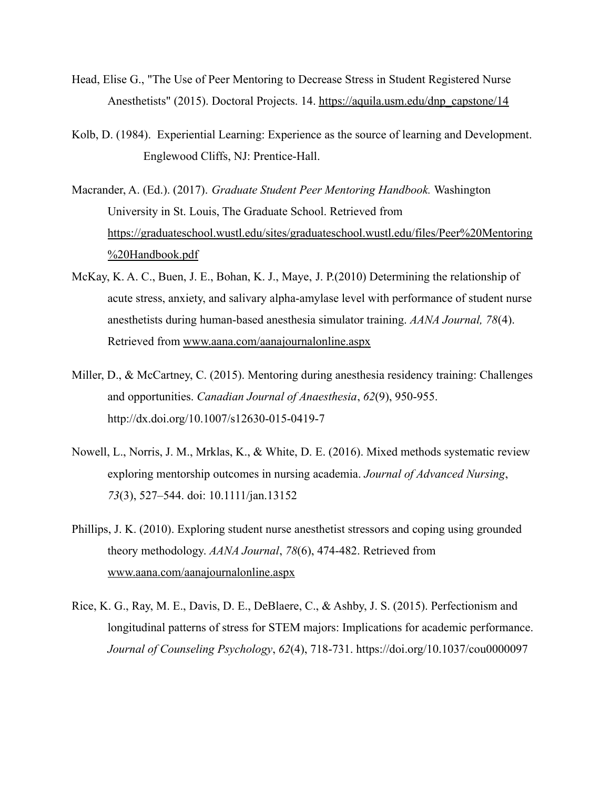- Head, Elise G., "The Use of Peer Mentoring to Decrease Stress in Student Registered Nurse Anesthetists" (2015). Doctoral Projects. 14. [https://aquila.usm.edu/dnp\\_capstone/14](https://aquila.usm.edu/dnp_capstone/14)
- Kolb, D. (1984). Experiential Learning: Experience as the source of learning and Development. Englewood Cliffs, NJ: Prentice-Hall.
- Macrander, A. (Ed.). (2017). *Graduate Student Peer Mentoring Handbook.* Washington University in St. Louis, The Graduate School. Retrieved from [https://graduateschool.wustl.edu/sites/graduateschool.wustl.edu/files/Peer%20Mentoring](https://graduateschool.wustl.edu/sites/graduateschool.wustl.edu/files/Peer%20Mentoring%20Handbook.pdf) [%20Handbook.pdf](https://graduateschool.wustl.edu/sites/graduateschool.wustl.edu/files/Peer%20Mentoring%20Handbook.pdf)
- McKay, K. A. C., Buen, J. E., Bohan, K. J., Maye, J. P.(2010) Determining the relationship of acute stress, anxiety, and salivary alpha-amylase level with performance of student nurse anesthetists during human-based anesthesia simulator training. *AANA Journal, 78*(4). Retrieved from [www.aana.com/aanajournalonline.aspx](http://www.aana.com/aanajournalonline.aspx)
- Miller, D., & McCartney, C. (2015). Mentoring during anesthesia residency training: Challenges and opportunities. *Canadian Journal of Anaesthesia*, *62*(9), 950-955. http://dx.doi.org/10.1007/s12630-015-0419-7
- Nowell, L., Norris, J. M., Mrklas, K., & White, D. E. (2016). Mixed methods systematic review exploring mentorship outcomes in nursing academia. *Journal of Advanced Nursing*, *73*(3), 527–544. doi: 10.1111/jan.13152
- Phillips, J. K. (2010). Exploring student nurse anesthetist stressors and coping using grounded theory methodology. *AANA Journal*, *78*(6), 474-482. Retrieved from [www.aana.com/aanajournalonline.aspx](http://www.aana.com/aanajournalonline.aspx)
- Rice, K. G., Ray, M. E., Davis, D. E., DeBlaere, C., & Ashby, J. S. (2015). Perfectionism and longitudinal patterns of stress for STEM majors: Implications for academic performance. *Journal of Counseling Psychology*, *62*(4), 718-731. https://doi.org/10.1037/cou0000097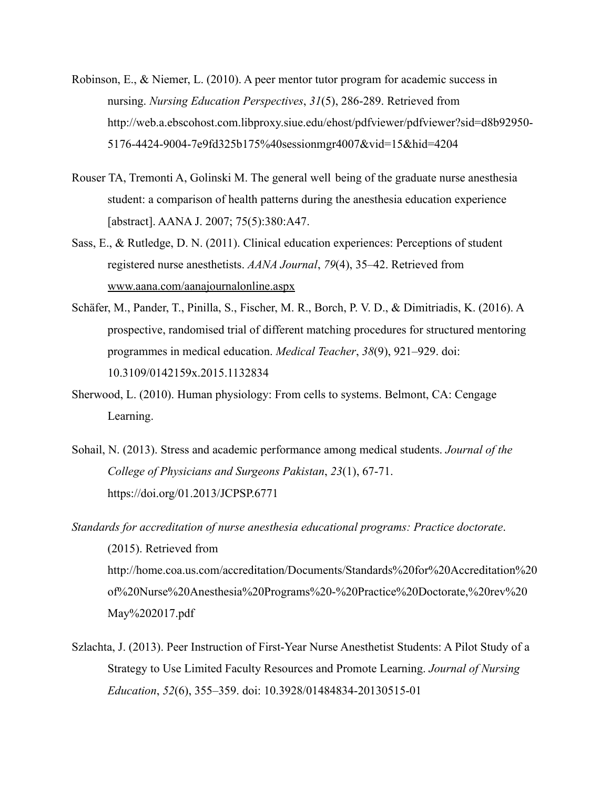- Robinson, E., & Niemer, L. (2010). A peer mentor tutor program for academic success in nursing. *Nursing Education Perspectives*, *31*(5), 286-289. Retrieved from http://web.a.ebscohost.com.libproxy.siue.edu/ehost/pdfviewer/pdfviewer?sid=d8b92950- 5176-4424-9004-7e9fd325b175%40sessionmgr4007&vid=15&hid=4204
- Rouser TA, Tremonti A, Golinski M. The general well being of the graduate nurse anesthesia student: a comparison of health patterns during the anesthesia education experience [abstract]. AANA J. 2007; 75(5):380:A47.
- Sass, E., & Rutledge, D. N. (2011). Clinical education experiences: Perceptions of student registered nurse anesthetists. *AANA Journal*, *79*(4), 35–42. Retrieved from [www.aana.com/aanajournalonline.aspx](http://www.aana.com/aanajournalonline.aspx)
- Schäfer, M., Pander, T., Pinilla, S., Fischer, M. R., Borch, P. V. D., & Dimitriadis, K. (2016). A prospective, randomised trial of different matching procedures for structured mentoring programmes in medical education. *Medical Teacher*, *38*(9), 921–929. doi: 10.3109/0142159x.2015.1132834
- Sherwood, L. (2010). Human physiology: From cells to systems. Belmont, CA: Cengage Learning.
- Sohail, N. (2013). Stress and academic performance among medical students. *Journal of the College of Physicians and Surgeons Pakistan*, *23*(1), 67-71. https://doi.org/01.2013/JCPSP.6771
- *Standards for accreditation of nurse anesthesia educational programs: Practice doctorate*. (2015). Retrieved from http://home.coa.us.com/accreditation/Documents/Standards%20for%20Accreditation%20 of%20Nurse%20Anesthesia%20Programs%20-%20Practice%20Doctorate,%20rev%20 May%202017.pdf
- Szlachta, J. (2013). Peer Instruction of First-Year Nurse Anesthetist Students: A Pilot Study of a Strategy to Use Limited Faculty Resources and Promote Learning. *Journal of Nursing Education*, *52*(6), 355–359. doi: 10.3928/01484834-20130515-01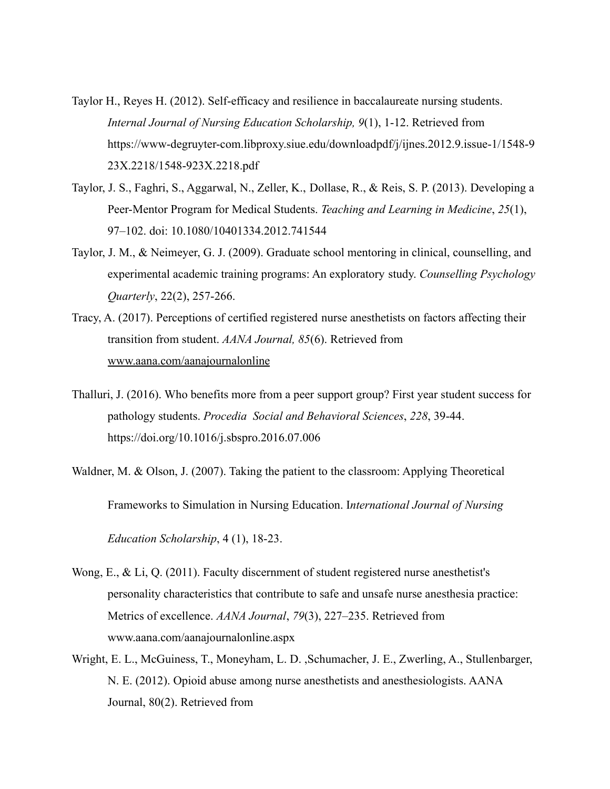- Taylor H., Reyes H. (2012). Self-efficacy and resilience in baccalaureate nursing students. *Internal Journal of Nursing Education Scholarship, 9*(1), 1-12. Retrieved from https://www-degruyter-com.libproxy.siue.edu/downloadpdf/j/ijnes.2012.9.issue-1/1548-9 23X.2218/1548-923X.2218.pdf
- Taylor, J. S., Faghri, S., Aggarwal, N., Zeller, K., Dollase, R., & Reis, S. P. (2013). Developing a Peer-Mentor Program for Medical Students. *Teaching and Learning in Medicine*, *25*(1), 97–102. doi: 10.1080/10401334.2012.741544
- Taylor, J. M., & Neimeyer, G. J. (2009). Graduate school mentoring in clinical, counselling, and experimental academic training programs: An exploratory study. *Counselling Psychology Quarterly*, 22(2), 257-266.
- Tracy, A. (2017). Perceptions of certified registered nurse anesthetists on factors affecting their transition from student. *AANA Journal, 85*(6). Retrieved from [www.aana.com/aanajournalonline](http://www.aana.com/aanajournalonline)
- Thalluri, J. (2016). Who benefits more from a peer support group? First year student success for pathology students. *Procedia Social and Behavioral Sciences*, *228*, 39-44. https://doi.org/10.1016/j.sbspro.2016.07.006
- Waldner, M. & Olson, J. (2007). Taking the patient to the classroom: Applying Theoretical Frameworks to Simulation in Nursing Education. I*nternational Journal of Nursing Education Scholarship*, 4 (1), 18-23.
- Wong, E., & Li, Q. (2011). Faculty discernment of student registered nurse anesthetist's personality characteristics that contribute to safe and unsafe nurse anesthesia practice: Metrics of excellence. *AANA Journal*, *79*(3), 227–235. Retrieved from www.aana.com/aanajournalonline.aspx
- Wright, E. L., McGuiness, T., Moneyham, L. D. ,Schumacher, J. E., Zwerling, A., Stullenbarger, N. E. (2012). Opioid abuse among nurse anesthetists and anesthesiologists. AANA Journal, 80(2). Retrieved from